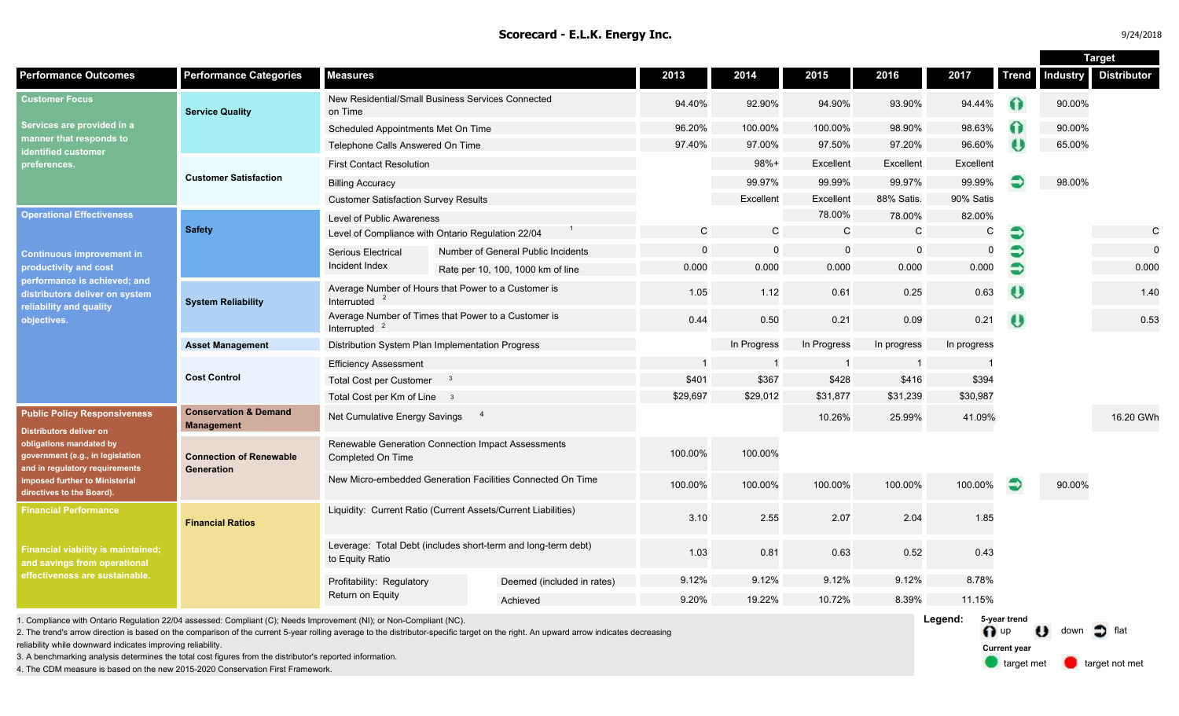| 24/2018 |  |
|---------|--|
|---------|--|

**Target Street, Support Street, Support Street, Support Street, Support Street, Support Street, Support Street** 

|                                                                                                                                                                                                                                |                                                       |                                                                                  |                |                                    |              | 2014        | 2015         | 2016         | 2017         | <b>Trend</b> | <b>Target</b>   |                    |  |
|--------------------------------------------------------------------------------------------------------------------------------------------------------------------------------------------------------------------------------|-------------------------------------------------------|----------------------------------------------------------------------------------|----------------|------------------------------------|--------------|-------------|--------------|--------------|--------------|--------------|-----------------|--------------------|--|
| <b>Performance Outcomes</b><br><b>Performance Categories</b><br><b>Measures</b>                                                                                                                                                |                                                       |                                                                                  |                |                                    | 2013         |             |              |              |              |              | <b>Industry</b> | <b>Distributor</b> |  |
| <b>Customer Focus</b><br>Services are provided in a<br>manner that responds to<br>dentified customer<br>preferences.                                                                                                           | <b>Service Quality</b>                                | New Residential/Small Business Services Connected<br>on Time                     |                |                                    | 94.40%       | 92.90%      | 94.90%       | 93.90%       | 94.44%       | $\Omega$     | 90.00%          |                    |  |
|                                                                                                                                                                                                                                |                                                       | Scheduled Appointments Met On Time                                               |                |                                    | 96.20%       | 100.00%     | 100.00%      | 98.90%       | 98.63%       | ∩            | 90.00%          |                    |  |
|                                                                                                                                                                                                                                |                                                       | Telephone Calls Answered On Time                                                 |                |                                    | 97.40%       | 97.00%      | 97.50%       | 97.20%       | 96.60%       | $\theta$     | 65.00%          |                    |  |
|                                                                                                                                                                                                                                | <b>Customer Satisfaction</b>                          | <b>First Contact Resolution</b>                                                  |                |                                    |              | $98%+$      | Excellent    | Excellent    | Excellent    |              |                 |                    |  |
|                                                                                                                                                                                                                                |                                                       | <b>Billing Accuracy</b>                                                          |                |                                    |              | 99.97%      | 99.99%       | 99.97%       | 99.99%       |              | 98.00%          |                    |  |
|                                                                                                                                                                                                                                |                                                       | <b>Customer Satisfaction Survey Results</b>                                      |                |                                    |              | Excellent   | Excellent    | 88% Satis.   | 90% Satis    |              |                 |                    |  |
| <b>Operational Effectiveness</b><br><b>Continuous improvement in</b><br>productivity and cost<br>performance is achieved; and<br>distributors deliver on system<br>reliability and quality<br>objectives.                      | <b>Safety</b>                                         | Level of Public Awareness                                                        |                |                                    |              |             | 78.00%       | 78.00%       | 82.00%       |              |                 |                    |  |
|                                                                                                                                                                                                                                |                                                       | Level of Compliance with Ontario Regulation 22/04                                |                |                                    | $\mathsf{C}$ | $\mathbf C$ | $\mathsf{C}$ | $\mathsf{C}$ | $\mathsf{C}$ | €            |                 | $\mathsf{C}$       |  |
|                                                                                                                                                                                                                                |                                                       | Serious Electrical                                                               |                | Number of General Public Incidents | $\mathbf 0$  | $\Omega$    | $\mathbf 0$  | $\mathbf 0$  | $\mathbf 0$  | €            |                 | $\mathbf 0$        |  |
|                                                                                                                                                                                                                                |                                                       | Incident Index                                                                   |                | Rate per 10, 100, 1000 km of line  | 0.000        | 0.000       | 0.000        | 0.000        | 0.000        | €            |                 | 0.000              |  |
|                                                                                                                                                                                                                                | <b>System Reliability</b>                             | Average Number of Hours that Power to a Customer is<br>Interrupted               |                |                                    | 1.05         | 1.12        | 0.61         | 0.25         | 0.63         | $\bullet$    |                 | 1.40               |  |
|                                                                                                                                                                                                                                |                                                       | Average Number of Times that Power to a Customer is<br>Interrupted               |                |                                    | 0.44         | 0.50        | 0.21         | 0.09         | 0.21         | $\bullet$    |                 | 0.53               |  |
|                                                                                                                                                                                                                                | <b>Asset Management</b>                               | Distribution System Plan Implementation Progress                                 |                |                                    |              | In Progress | In Progress  | In progress  | In progress  |              |                 |                    |  |
|                                                                                                                                                                                                                                | <b>Cost Control</b>                                   | <b>Efficiency Assessment</b>                                                     |                |                                    |              |             |              |              |              |              |                 |                    |  |
|                                                                                                                                                                                                                                |                                                       | <b>Total Cost per Customer</b>                                                   |                |                                    | \$401        | \$367       | \$428        | \$416        | \$394        |              |                 |                    |  |
|                                                                                                                                                                                                                                |                                                       | Total Cost per Km of Line 3                                                      |                |                                    | \$29,697     | \$29,012    | \$31,877     | \$31,239     | \$30,987     |              |                 |                    |  |
| <b>Public Policy Responsiveness</b><br>Distributors deliver on<br>obligations mandated by<br>government (e.g., in legislation<br>and in regulatory requirements<br>imposed further to Ministerial<br>directives to the Board). | <b>Conservation &amp; Demand</b><br><b>Management</b> | Net Cumulative Energy Savings                                                    | $\overline{4}$ |                                    |              |             | 10.26%       | 25.99%       | 41.09%       |              |                 | 16.20 GWh          |  |
|                                                                                                                                                                                                                                | <b>Connection of Renewable</b><br><b>Generation</b>   | Renewable Generation Connection Impact Assessments<br>Completed On Time          |                |                                    | 100.00%      | 100.00%     |              |              |              |              |                 |                    |  |
|                                                                                                                                                                                                                                |                                                       | New Micro-embedded Generation Facilities Connected On Time                       |                | 100.00%                            | 100.00%      | 100.00%     | 100.00%      | 100.00%      | Э            | 90.00%       |                 |                    |  |
| <b>Financial Performance</b>                                                                                                                                                                                                   | <b>Financial Ratios</b>                               | Liquidity: Current Ratio (Current Assets/Current Liabilities)                    |                |                                    | 3.10         | 2.55        | 2.07         | 2.04         | 1.85         |              |                 |                    |  |
| Financial viability is maintained;<br>and savings from operational<br>ffectiveness are sustainable.                                                                                                                            |                                                       | Leverage: Total Debt (includes short-term and long-term debt)<br>to Equity Ratio |                |                                    | 1.03         | 0.81        | 0.63         | 0.52         | 0.43         |              |                 |                    |  |
|                                                                                                                                                                                                                                |                                                       | Profitability: Regulatory                                                        |                | Deemed (included in rates)         | 9.12%        | 9.12%       | 9.12%        | 9.12%        | 8.78%        |              |                 |                    |  |
|                                                                                                                                                                                                                                |                                                       | Return on Equity                                                                 |                | Achieved                           | 9.20%        | 19.22%      | 10.72%       | 8.39%        | 11.15%       |              |                 |                    |  |
| 1. Compliance with Ontario Regulation 22/04 assessed: Compliant (C); Needs Improvement (NI); or Non-Compliant (NC).                                                                                                            |                                                       |                                                                                  |                |                                    |              |             |              |              | Legend:      | 5-year trend |                 |                    |  |

2. The trend's arrow direction is based on the comparison of the current 5-year rolling average to the distributor-specific target on the right. An upward arrow indicates decreasing

reliability while downward indicates improving reliability.

3. A benchmarking analysis determines the total cost figures from the distributor's reported information.

4. The CDM measure is based on the new 2015-2020 Conservation First Framework.

n up U down of flat target met **target not met Current year**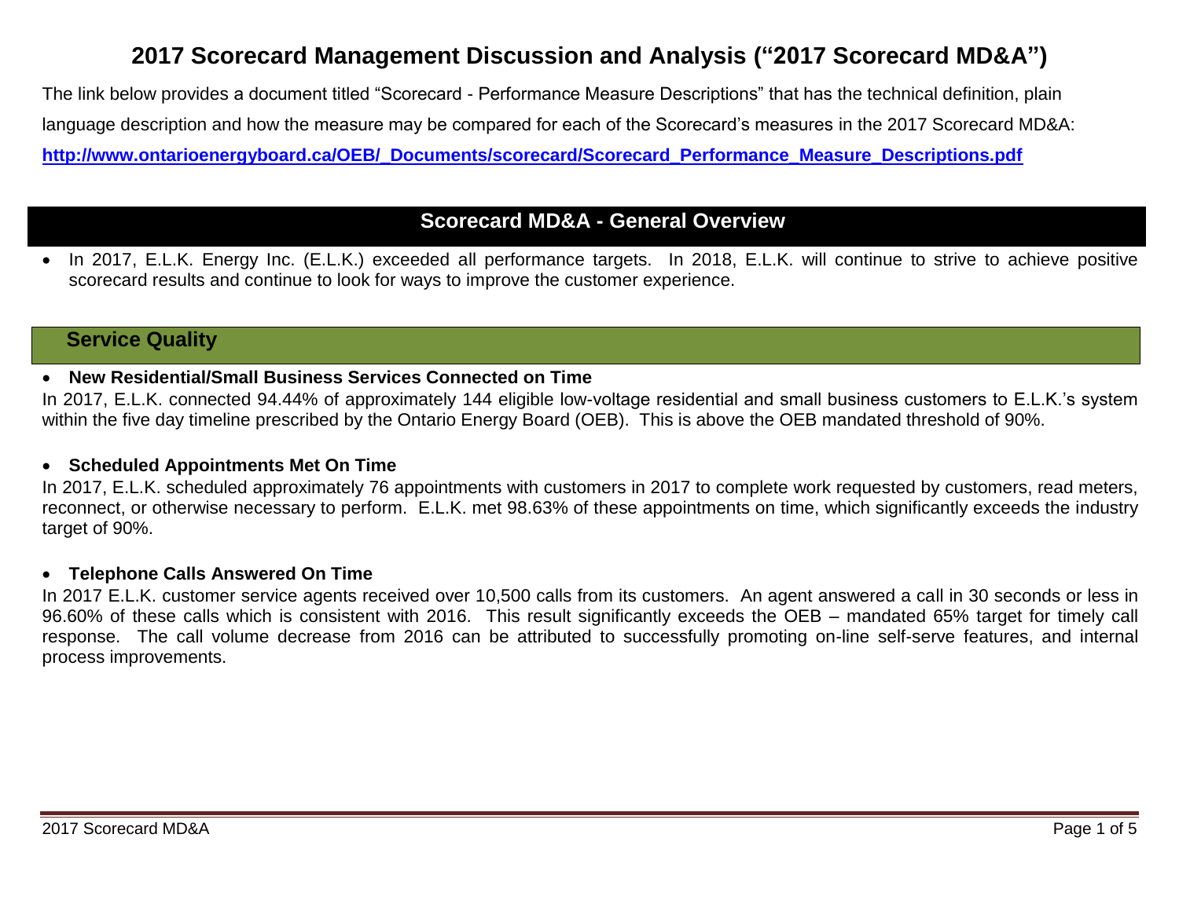# **2017 Scorecard Management Discussion and Analysis ("2017 Scorecard MD&A")**

The link below provides a document titled "Scorecard - Performance Measure Descriptions" that has the technical definition, plain language description and how the measure may be compared for each of the Scorecard's measures in the 2017 Scorecard MD&A: **[http://www.ontarioenergyboard.ca/OEB/\\_Documents/scorecard/Scorecard\\_Performance\\_Measure\\_Descriptions.pdf](http://www.ontarioenergyboard.ca/OEB/_Documents/scorecard/Scorecard_Performance_Measure_Descriptions.pdf)**

# **Scorecard MD&A - General Overview**

• In 2017, E.L.K. Energy Inc. (E.L.K.) exceeded all performance targets. In 2018, E.L.K. will continue to strive to achieve positive scorecard results and continue to look for ways to improve the customer experience.

# **Service Quality**

# **New Residential/Small Business Services Connected on Time**

In 2017, E.L.K. connected 94.44% of approximately 144 eligible low-voltage residential and small business customers to E.L.K.'s system within the five day timeline prescribed by the Ontario Energy Board (OEB). This is above the OEB mandated threshold of 90%.

## **Scheduled Appointments Met On Time**

In 2017, E.L.K. scheduled approximately 76 appointments with customers in 2017 to complete work requested by customers, read meters, reconnect, or otherwise necessary to perform. E.L.K. met 98.63% of these appointments on time, which significantly exceeds the industry target of 90%.

### **Telephone Calls Answered On Time**

In 2017 E.L.K. customer service agents received over 10,500 calls from its customers. An agent answered a call in 30 seconds or less in 96.60% of these calls which is consistent with 2016. This result significantly exceeds the OEB – mandated 65% target for timely call response. The call volume decrease from 2016 can be attributed to successfully promoting on-line self-serve features, and internal process improvements.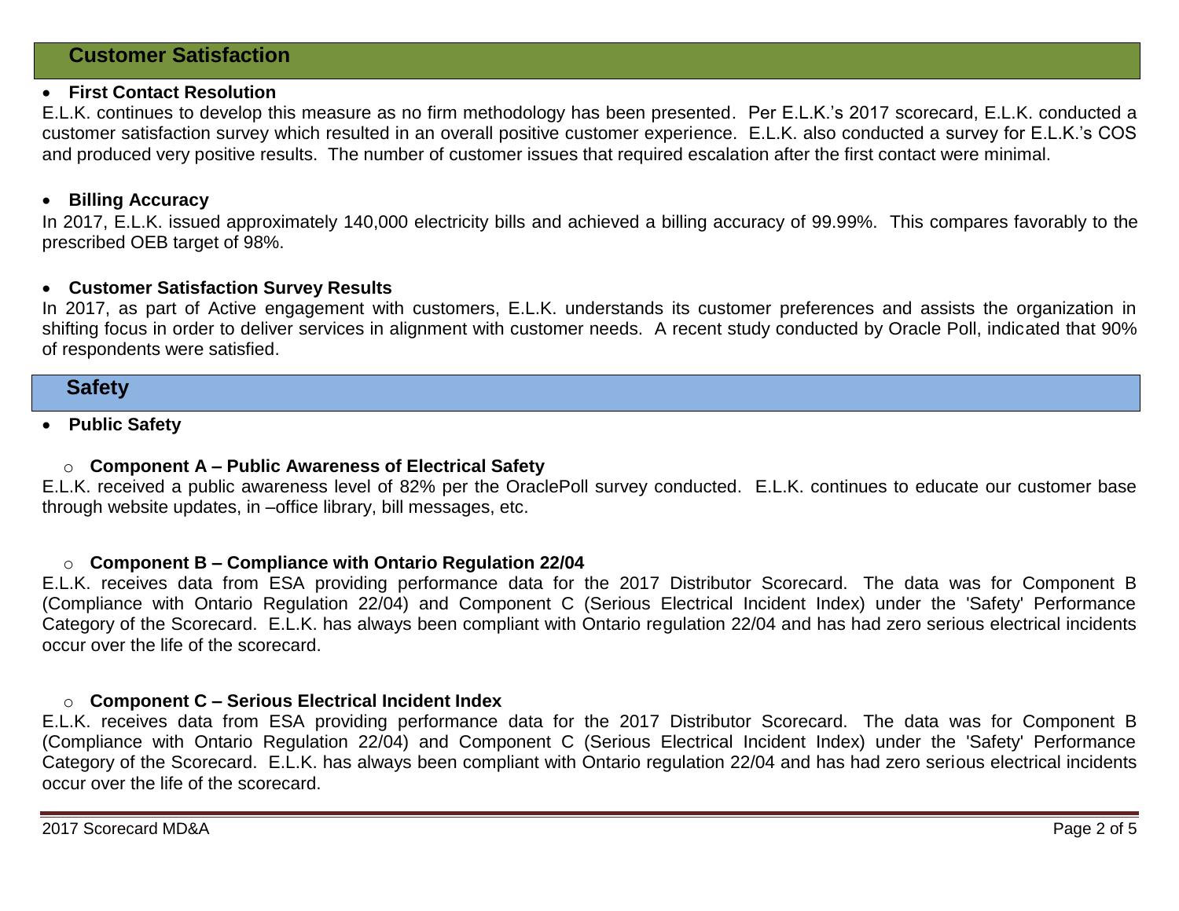# **Customer Satisfaction**

### **First Contact Resolution**

E.L.K. continues to develop this measure as no firm methodology has been presented. Per E.L.K.'s 2017 scorecard, E.L.K. conducted a customer satisfaction survey which resulted in an overall positive customer experience. E.L.K. also conducted a survey for E.L.K.'s COS and produced very positive results. The number of customer issues that required escalation after the first contact were minimal.

#### **Billing Accuracy**

In 2017, E.L.K. issued approximately 140,000 electricity bills and achieved a billing accuracy of 99.99%. This compares favorably to the prescribed OEB target of 98%.

### **Customer Satisfaction Survey Results**

In 2017, as part of Active engagement with customers, E.L.K. understands its customer preferences and assists the organization in shifting focus in order to deliver services in alignment with customer needs. A recent study conducted by Oracle Poll, indicated that 90% of respondents were satisfied.

# **Safety**

### **Public Safety**

#### o **Component A – Public Awareness of Electrical Safety**

E.L.K. received a public awareness level of 82% per the OraclePoll survey conducted. E.L.K. continues to educate our customer base through website updates, in –office library, bill messages, etc.

#### o **Component B – Compliance with Ontario Regulation 22/04**

E.L.K. receives data from ESA providing performance data for the 2017 Distributor Scorecard. The data was for Component B (Compliance with Ontario Regulation 22/04) and Component C (Serious Electrical Incident Index) under the 'Safety' Performance Category of the Scorecard. E.L.K. has always been compliant with Ontario regulation 22/04 and has had zero serious electrical incidents occur over the life of the scorecard.

#### o **Component C – Serious Electrical Incident Index**

E.L.K. receives data from ESA providing performance data for the 2017 Distributor Scorecard. The data was for Component B (Compliance with Ontario Regulation 22/04) and Component C (Serious Electrical Incident Index) under the 'Safety' Performance Category of the Scorecard. E.L.K. has always been compliant with Ontario regulation 22/04 and has had zero serious electrical incidents occur over the life of the scorecard.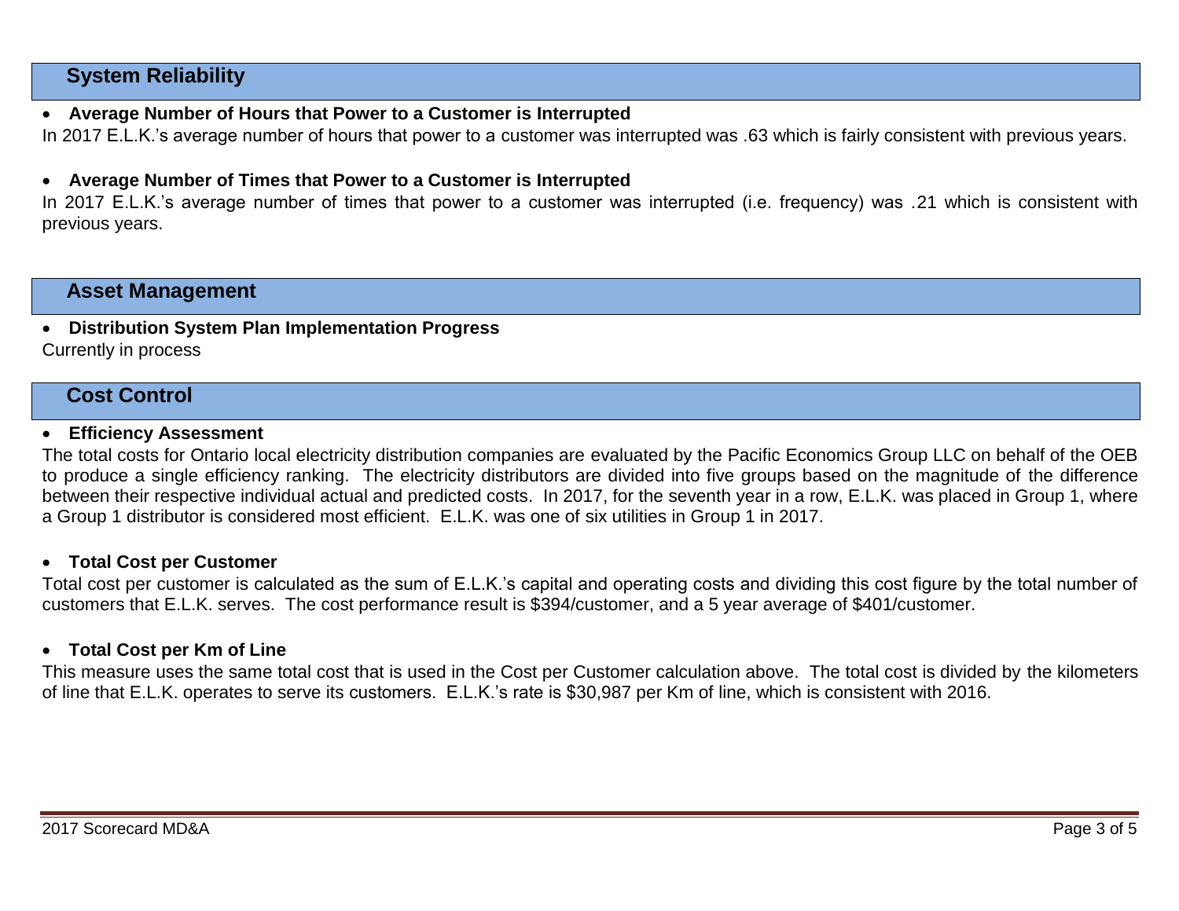# **System Reliability**

# **Average Number of Hours that Power to a Customer is Interrupted**

In 2017 E.L.K.'s average number of hours that power to a customer was interrupted was .63 which is fairly consistent with previous years.

# **Average Number of Times that Power to a Customer is Interrupted**

In 2017 E.L.K.'s average number of times that power to a customer was interrupted (i.e. frequency) was .21 which is consistent with previous years.

# **Asset Management**

**Distribution System Plan Implementation Progress**

Currently in process

# **Cost Control**

### **Efficiency Assessment**

The total costs for Ontario local electricity distribution companies are evaluated by the Pacific Economics Group LLC on behalf of the OEB to produce a single efficiency ranking. The electricity distributors are divided into five groups based on the magnitude of the difference between their respective individual actual and predicted costs. In 2017, for the seventh year in a row, E.L.K. was placed in Group 1, where a Group 1 distributor is considered most efficient. E.L.K. was one of six utilities in Group 1 in 2017.

#### **Total Cost per Customer**

Total cost per customer is calculated as the sum of E.L.K.'s capital and operating costs and dividing this cost figure by the total number of customers that E.L.K. serves. The cost performance result is \$394/customer, and a 5 year average of \$401/customer.

## **Total Cost per Km of Line**

This measure uses the same total cost that is used in the Cost per Customer calculation above. The total cost is divided by the kilometers of line that E.L.K. operates to serve its customers. E.L.K.'s rate is \$30,987 per Km of line, which is consistent with 2016.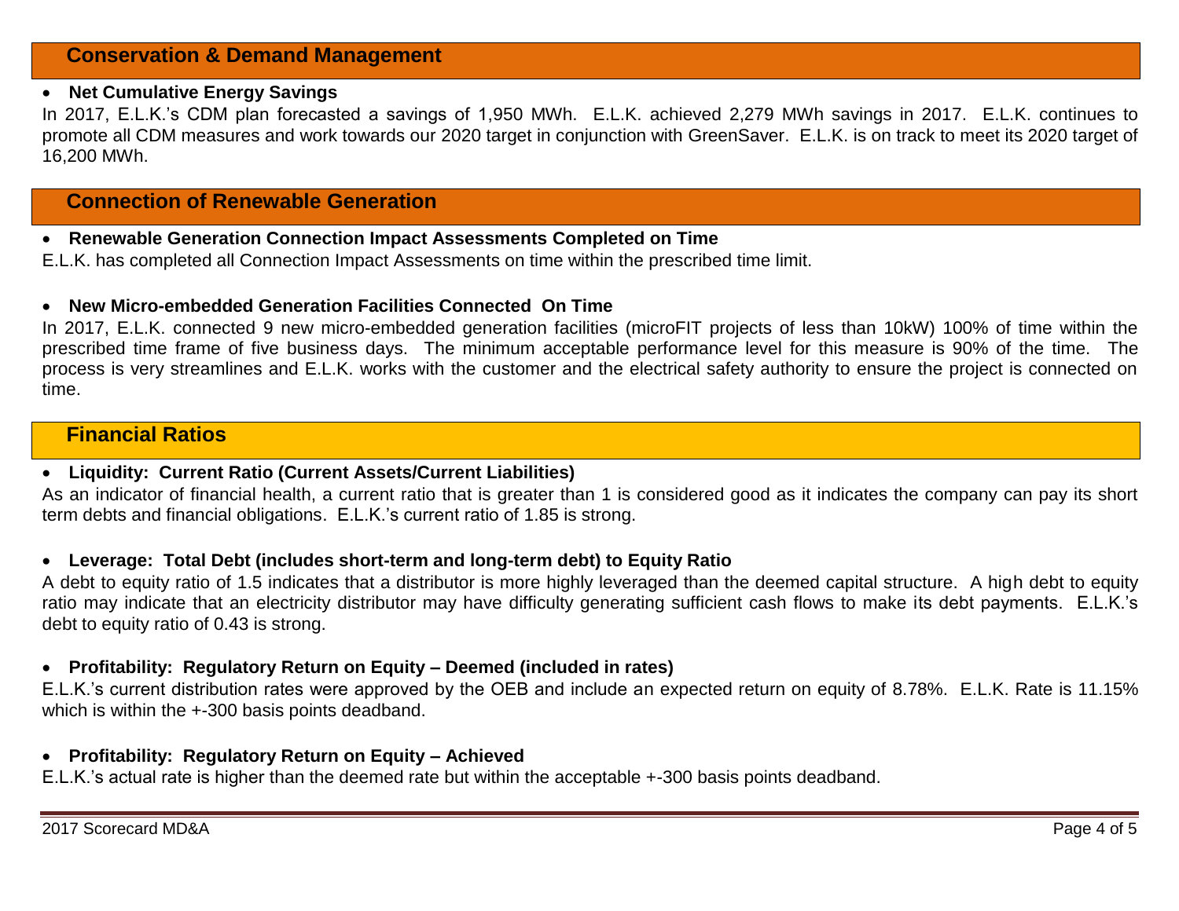# **Net Cumulative Energy Savings**

In 2017, E.L.K.'s CDM plan forecasted a savings of 1,950 MWh. E.L.K. achieved 2,279 MWh savings in 2017. E.L.K. continues to promote all CDM measures and work towards our 2020 target in conjunction with GreenSaver. E.L.K. is on track to meet its 2020 target of 16,200 MWh.

# **Connection of Renewable Generation**

### **Renewable Generation Connection Impact Assessments Completed on Time**

E.L.K. has completed all Connection Impact Assessments on time within the prescribed time limit.

### **New Micro-embedded Generation Facilities Connected On Time**

In 2017, E.L.K. connected 9 new micro-embedded generation facilities (microFIT projects of less than 10kW) 100% of time within the prescribed time frame of five business days. The minimum acceptable performance level for this measure is 90% of the time. The process is very streamlines and E.L.K. works with the customer and the electrical safety authority to ensure the project is connected on time.

# **Financial Ratios**

### **Liquidity: Current Ratio (Current Assets/Current Liabilities)**

As an indicator of financial health, a current ratio that is greater than 1 is considered good as it indicates the company can pay its short term debts and financial obligations. E.L.K.'s current ratio of 1.85 is strong.

### **Leverage: Total Debt (includes short-term and long-term debt) to Equity Ratio**

A debt to equity ratio of 1.5 indicates that a distributor is more highly leveraged than the deemed capital structure. A high debt to equity ratio may indicate that an electricity distributor may have difficulty generating sufficient cash flows to make its debt payments. E.L.K.'s debt to equity ratio of 0.43 is strong.

# **Profitability: Regulatory Return on Equity – Deemed (included in rates)**

E.L.K.'s current distribution rates were approved by the OEB and include an expected return on equity of 8.78%. E.L.K. Rate is 11.15% which is within the  $+300$  basis points deadband.

### **Profitability: Regulatory Return on Equity – Achieved**

E.L.K.'s actual rate is higher than the deemed rate but within the acceptable +-300 basis points deadband.